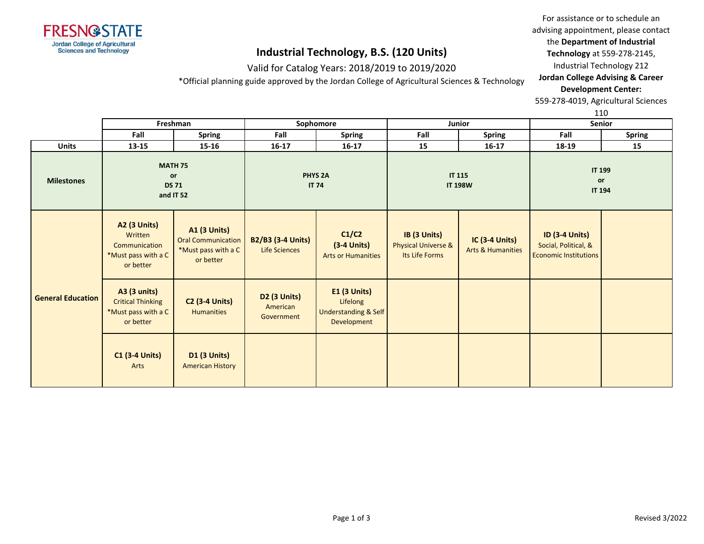

### Valid for Catalog Years: 2018/2019 to 2019/2020

\*Official planning guide approved by the Jordan College of Agricultural Sciences & Technology

For assistance or to schedule an advising appointment, please contact the **Department of Industrial** 

**Technology** at 559-278-2145,

Industrial Technology 212

**Jordan College Advising & Career Development Center:**

559-278-4019, Agricultural Sciences

110

|                          |                                                                                     | Freshman                                                                             |                                                  | Sophomore                                                              |                                                                  | Junior                                                |                                                                               | ---<br><b>Senior</b>                 |
|--------------------------|-------------------------------------------------------------------------------------|--------------------------------------------------------------------------------------|--------------------------------------------------|------------------------------------------------------------------------|------------------------------------------------------------------|-------------------------------------------------------|-------------------------------------------------------------------------------|--------------------------------------|
|                          | Fall                                                                                | <b>Spring</b>                                                                        | Fall                                             | <b>Spring</b>                                                          | Fall                                                             | <b>Spring</b>                                         | Fall                                                                          | <b>Spring</b>                        |
| <b>Units</b>             | 13-15                                                                               | $15 - 16$                                                                            | 16-17                                            | $16 - 17$                                                              | 15                                                               | $16-17$                                               | 18-19                                                                         | 15                                   |
| <b>Milestones</b>        |                                                                                     | <b>MATH 75</b><br>or<br><b>DS 71</b><br>and IT 52                                    |                                                  | <b>PHYS 2A</b><br><b>IT 74</b>                                         |                                                                  | <b>IT 115</b><br><b>IT 198W</b>                       |                                                                               | <b>IT 199</b><br>or<br><b>IT 194</b> |
|                          | <b>A2 (3 Units)</b><br>Written<br>Communication<br>*Must pass with a C<br>or better | <b>A1 (3 Units)</b><br><b>Oral Communication</b><br>*Must pass with a C<br>or better | <b>B2/B3 (3-4 Units)</b><br><b>Life Sciences</b> | C1/C2<br>$(3-4$ Units)<br><b>Arts or Humanities</b>                    | IB (3 Units)<br><b>Physical Universe &amp;</b><br>Its Life Forms | <b>IC (3-4 Units)</b><br><b>Arts &amp; Humanities</b> | <b>ID (3-4 Units)</b><br>Social, Political, &<br><b>Economic Institutions</b> |                                      |
| <b>General Education</b> | <b>A3 (3 units)</b><br><b>Critical Thinking</b><br>*Must pass with a C<br>or better | <b>C2 (3-4 Units)</b><br><b>Humanities</b>                                           | <b>D2 (3 Units)</b><br>American<br>Government    | <b>E1 (3 Units)</b><br>Lifelong<br>Understanding & Self<br>Development |                                                                  |                                                       |                                                                               |                                      |
|                          | $C1$ (3-4 Units)<br>Arts                                                            | <b>D1 (3 Units)</b><br><b>American History</b>                                       |                                                  |                                                                        |                                                                  |                                                       |                                                                               |                                      |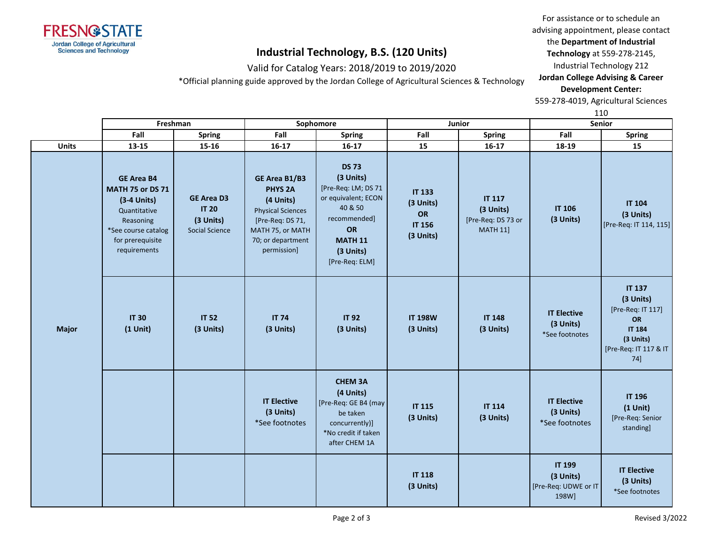

### Valid for Catalog Years: 2018/2019 to 2019/2020

\*Official planning guide approved by the Jordan College of Agricultural Sciences & Technology

For assistance or to schedule an advising appointment, please contact the **Department of Industrial Technology** at 559-278-2145,

Industrial Technology 212

### **Jordan College Advising & Career Development Center:**

559-278-4019, Agricultural Sciences

110

|              |                                                                                                                                                       | Freshman                                                         |                                                                                                                                                      | Sophomore                                                                                                                                                 |                                                                | Junior                                                              | ᅩᅩ<br>Senior                                                 |                                                                                                                            |
|--------------|-------------------------------------------------------------------------------------------------------------------------------------------------------|------------------------------------------------------------------|------------------------------------------------------------------------------------------------------------------------------------------------------|-----------------------------------------------------------------------------------------------------------------------------------------------------------|----------------------------------------------------------------|---------------------------------------------------------------------|--------------------------------------------------------------|----------------------------------------------------------------------------------------------------------------------------|
|              | Fall                                                                                                                                                  | Spring                                                           | Fall                                                                                                                                                 | <b>Spring</b>                                                                                                                                             | Fall                                                           | <b>Spring</b>                                                       | Fall                                                         | <b>Spring</b>                                                                                                              |
| <b>Units</b> | $13 - 15$                                                                                                                                             | $15 - 16$                                                        | $16 - 17$                                                                                                                                            | $16 - 17$                                                                                                                                                 | 15                                                             | $16-17$                                                             | 18-19                                                        | 15                                                                                                                         |
|              | <b>GE Area B4</b><br><b>MATH 75 or DS 71</b><br>$(3-4$ Units)<br>Quantitative<br>Reasoning<br>*See course catalog<br>for prerequisite<br>requirements | <b>GE Area D3</b><br><b>IT 20</b><br>(3 Units)<br>Social Science | GE Area B1/B3<br><b>PHYS 2A</b><br>(4 Units)<br><b>Physical Sciences</b><br>[Pre-Req: DS 71,<br>MATH 75, or MATH<br>70; or department<br>permission] | <b>DS 73</b><br>(3 Units)<br>[Pre-Req: LM; DS 71<br>or equivalent; ECON<br>40 & 50<br>recommended]<br>OR<br><b>MATH 11</b><br>(3 Units)<br>[Pre-Req: ELM] | <b>IT 133</b><br>(3 Units)<br>OR<br><b>IT 156</b><br>(3 Units) | <b>IT 117</b><br>(3 Units)<br>[Pre-Req: DS 73 or<br><b>MATH 11]</b> | <b>IT 106</b><br>(3 Units)                                   | <b>IT 104</b><br>(3 Units)<br>[Pre-Req: IT 114, 115]                                                                       |
| <b>Major</b> | <b>IT 30</b><br>$(1$ Unit)                                                                                                                            | <b>IT 52</b><br>(3 Units)                                        | <b>IT 74</b><br>(3 Units)                                                                                                                            | <b>IT 92</b><br>(3 Units)                                                                                                                                 | <b>IT 198W</b><br>(3 Units)                                    | <b>IT 148</b><br>(3 Units)                                          | <b>IT Elective</b><br>(3 Units)<br>*See footnotes            | <b>IT 137</b><br>(3 Units)<br>[Pre-Req: IT 117]<br><b>OR</b><br><b>IT 184</b><br>(3 Units)<br>[Pre-Req: IT 117 & IT<br>74] |
|              |                                                                                                                                                       |                                                                  | <b>IT Elective</b><br>(3 Units)<br>*See footnotes                                                                                                    | <b>CHEM 3A</b><br>(4 Units)<br>[Pre-Req: GE B4 (may<br>be taken<br>concurrently)]<br>*No credit if taken<br>after CHEM 1A                                 | <b>IT 115</b><br>(3 Units)                                     | <b>IT 114</b><br>(3 Units)                                          | <b>IT Elective</b><br>(3 Units)<br>*See footnotes            | <b>IT 196</b><br>$(1$ Unit)<br>[Pre-Req: Senior<br>standing]                                                               |
|              |                                                                                                                                                       |                                                                  |                                                                                                                                                      |                                                                                                                                                           | <b>IT 118</b><br>(3 Units)                                     |                                                                     | <b>IT 199</b><br>(3 Units)<br>[Pre-Req: UDWE or IT]<br>198W] | <b>IT Elective</b><br>(3 Units)<br>*See footnotes                                                                          |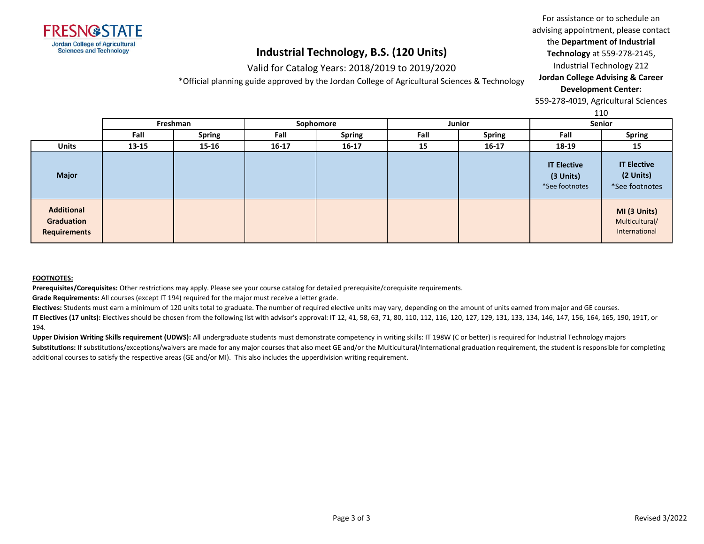

## Valid for Catalog Years: 2018/2019 to 2019/2020

\*Official planning guide approved by the Jordan College of Agricultural Sciences & Technology

For assistance or to schedule an advising appointment, please contact the **Department of Industrial** 

**Technology** at 559-278-2145,

Industrial Technology 212

#### **Jordan College Advising & Career Development Center:**

559-278-4019, Agricultural Sciences

110

|                                                        |           |               |           |               |      |               |                                                   | 110                                               |
|--------------------------------------------------------|-----------|---------------|-----------|---------------|------|---------------|---------------------------------------------------|---------------------------------------------------|
|                                                        |           | Freshman      |           | Sophomore     |      | Junior        | Senior                                            |                                                   |
|                                                        | Fall      | <b>Spring</b> | Fall      | <b>Spring</b> | Fall | <b>Spring</b> | Fall                                              | <b>Spring</b>                                     |
| <b>Units</b>                                           | $13 - 15$ | 15-16         | $16 - 17$ | $16 - 17$     | 15   | $16 - 17$     | 18-19                                             | 15                                                |
| <b>Major</b>                                           |           |               |           |               |      |               | <b>IT Elective</b><br>(3 Units)<br>*See footnotes | <b>IT Elective</b><br>(2 Units)<br>*See footnotes |
| <b>Additional</b><br>Graduation<br><b>Requirements</b> |           |               |           |               |      |               |                                                   | MI (3 Units)<br>Multicultural/<br>International   |

#### **FOOTNOTES:**

**Prerequisites/Corequisites:** Other restrictions may apply. Please see your course catalog for detailed prerequisite/corequisite requirements.

**Grade Requirements:** All courses (except IT 194) required for the major must receive a letter grade.

**Electives:** Students must earn a minimum of 120 units total to graduate. The number of required elective units may vary, depending on the amount of units earned from major and GE courses. **IT Electives (17 units):** Electives should be chosen from the following list with advisor's approval: IT 12, 41, 58, 63, 71, 80, 110, 112, 116, 120, 127, 129, 131, 133, 134, 146, 147, 156, 164, 165, 190, 191T, or 194.

**Upper Division Writing Skills requirement (UDWS):** All undergraduate students must demonstrate competency in writing skills: IT 198W (C or better) is required for Industrial Technology majors Substitutions: If substitutions/exceptions/waivers are made for any major courses that also meet GE and/or the Multicultural/International graduation requirement, the student is responsible for completing additional courses to satisfy the respective areas (GE and/or MI). This also includes the upperdivision writing requirement.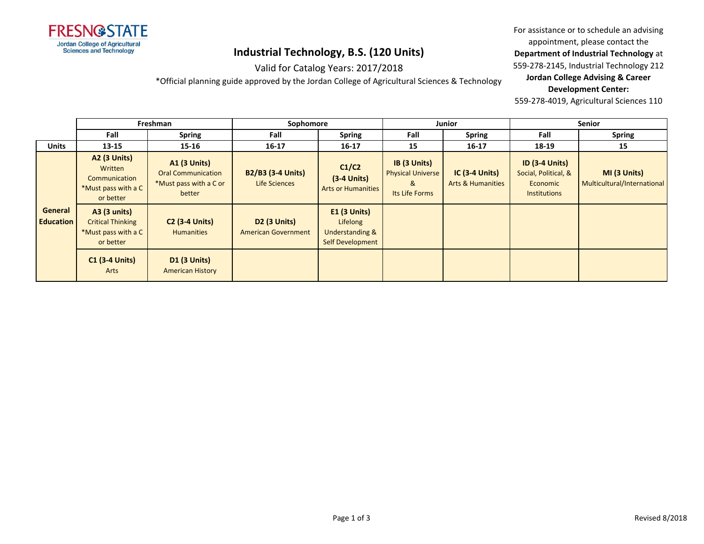

### Valid for Catalog Years: 2017/2018 \*Official planning guide approved by the Jordan College of Agricultural Sciences & Technology

appointment, please contact the **Department of Industrial Technology** at

For assistance or to schedule an advising

559-278-2145, Industrial Technology 212

### **Jordan College Advising & Career Development Center:**

|                             |                                                                                     | Freshman                                                                             |                                                   | Sophomore                                                                |                                                                 | <b>Junior</b>                                   | <b>Senior</b>                                                                    |                                             |
|-----------------------------|-------------------------------------------------------------------------------------|--------------------------------------------------------------------------------------|---------------------------------------------------|--------------------------------------------------------------------------|-----------------------------------------------------------------|-------------------------------------------------|----------------------------------------------------------------------------------|---------------------------------------------|
|                             | Fall                                                                                | <b>Spring</b>                                                                        | Fall                                              | <b>Spring</b>                                                            | Fall                                                            | <b>Spring</b>                                   | Fall                                                                             | <b>Spring</b>                               |
| <b>Units</b>                | 13-15                                                                               | $15 - 16$                                                                            | $16 - 17$                                         | $16 - 17$                                                                | 15                                                              | $16 - 17$                                       | 18-19                                                                            | 15                                          |
|                             | <b>A2 (3 Units)</b><br>Written<br>Communication<br>*Must pass with a C<br>or better | <b>A1 (3 Units)</b><br><b>Oral Communication</b><br>*Must pass with a C or<br>better | <b>B2/B3 (3-4 Units)</b><br>Life Sciences         | C1/C2<br>$(3-4$ Units)<br><b>Arts or Humanities</b>                      | IB (3 Units)<br><b>Physical Universe</b><br>&<br>Its Life Forms | $IC(3-4 Units)$<br><b>Arts &amp; Humanities</b> | <b>ID (3-4 Units)</b><br>Social, Political, &<br>Economic<br><b>Institutions</b> | MI (3 Units)<br>Multicultural/International |
| General<br><b>Education</b> | <b>A3 (3 units)</b><br><b>Critical Thinking</b><br>*Must pass with a C<br>or better | <b>C2 (3-4 Units)</b><br><b>Humanities</b>                                           | <b>D2 (3 Units)</b><br><b>American Government</b> | $E1$ (3 Units)<br>Lifelong<br>Understanding &<br><b>Self Development</b> |                                                                 |                                                 |                                                                                  |                                             |
|                             | $C1$ (3-4 Units)<br>Arts                                                            | D1 (3 Units)<br><b>American History</b>                                              |                                                   |                                                                          |                                                                 |                                                 |                                                                                  |                                             |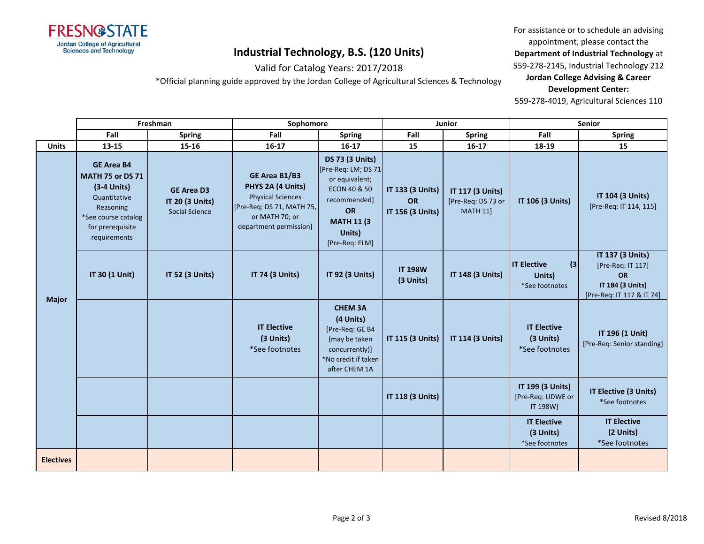

### Valid for Catalog Years: 2017/2018

\*Official planning guide approved by the Jordan College of Agricultural Sciences & Technology

For assistance or to schedule an advising appointment, please contact the

**Department of Industrial Technology** at

559-278-2145, Industrial Technology 212

#### **Jordan College Advising & Career Development Center:**

|                  |                                                                                                                                                       | Freshman                                                      | Sophomore                                                                                                                               |                                                                                                                                                                           |                                                   | <b>Junior</b>                                             |                                                       | Senior                                                                                              |
|------------------|-------------------------------------------------------------------------------------------------------------------------------------------------------|---------------------------------------------------------------|-----------------------------------------------------------------------------------------------------------------------------------------|---------------------------------------------------------------------------------------------------------------------------------------------------------------------------|---------------------------------------------------|-----------------------------------------------------------|-------------------------------------------------------|-----------------------------------------------------------------------------------------------------|
|                  | Fall                                                                                                                                                  | <b>Spring</b>                                                 | Fall                                                                                                                                    | <b>Spring</b>                                                                                                                                                             | Fall                                              | <b>Spring</b>                                             | Fall                                                  | <b>Spring</b>                                                                                       |
| <b>Units</b>     | 13-15                                                                                                                                                 | $15 - 16$                                                     | $16-17$                                                                                                                                 | $16 - 17$                                                                                                                                                                 | 15                                                | $16 - 17$                                                 | 18-19                                                 | 15                                                                                                  |
|                  | <b>GE Area B4</b><br><b>MATH 75 or DS 71</b><br>$(3-4$ Units)<br>Quantitative<br>Reasoning<br>*See course catalog<br>for prerequisite<br>requirements | <b>GE Area D3</b><br>IT 20 (3 Units)<br><b>Social Science</b> | GE Area B1/B3<br>PHYS 2A (4 Units)<br><b>Physical Sciences</b><br>[Pre-Req: DS 71, MATH 75,<br>or MATH 70; or<br>department permission] | <b>DS 73 (3 Units)</b><br>[Pre-Req: LM; DS 71<br>or equivalent;<br><b>ECON 40 &amp; 50</b><br>recommended]<br><b>OR</b><br><b>MATH 11 (3)</b><br>Units)<br>[Pre-Req: ELM] | IT 133 (3 Units)<br><b>OR</b><br>IT 156 (3 Units) | IT 117 (3 Units)<br>[Pre-Req: DS 73 or<br><b>MATH 11]</b> | IT 106 (3 Units)                                      | IT 104 (3 Units)<br>[Pre-Req: IT 114, 115]                                                          |
| <b>Major</b>     | IT 30 (1 Unit)                                                                                                                                        | IT 52 (3 Units)                                               | IT 74 (3 Units)                                                                                                                         | IT 92 (3 Units)                                                                                                                                                           | <b>IT 198W</b><br>(3 Units)                       | IT 148 (3 Units)                                          | <b>IT Elective</b><br>(3)<br>Units)<br>*See footnotes | <b>IT 137 (3 Units)</b><br>[Pre-Req: IT 117]<br>OR<br>IT 184 (3 Units)<br>[Pre-Req: IT 117 & IT 74] |
|                  |                                                                                                                                                       |                                                               | <b>IT Elective</b><br>(3 Units)<br>*See footnotes                                                                                       | <b>CHEM 3A</b><br>(4 Units)<br>[Pre-Req: GE B4<br>(may be taken<br>concurrently)]<br>*No credit if taken<br>after CHEM 1A                                                 | IT 115 (3 Units)                                  | IT 114 (3 Units)                                          | <b>IT Elective</b><br>(3 Units)<br>*See footnotes     | IT 196 (1 Unit)<br>[Pre-Req: Senior standing]                                                       |
|                  |                                                                                                                                                       |                                                               |                                                                                                                                         |                                                                                                                                                                           | IT 118 (3 Units)                                  |                                                           | IT 199 (3 Units)<br>[Pre-Req: UDWE or<br>IT 198W]     | IT Elective (3 Units)<br>*See footnotes                                                             |
|                  |                                                                                                                                                       |                                                               |                                                                                                                                         |                                                                                                                                                                           |                                                   |                                                           | <b>IT Elective</b><br>(3 Units)<br>*See footnotes     | <b>IT Elective</b><br>(2 Units)<br>*See footnotes                                                   |
| <b>Electives</b> |                                                                                                                                                       |                                                               |                                                                                                                                         |                                                                                                                                                                           |                                                   |                                                           |                                                       |                                                                                                     |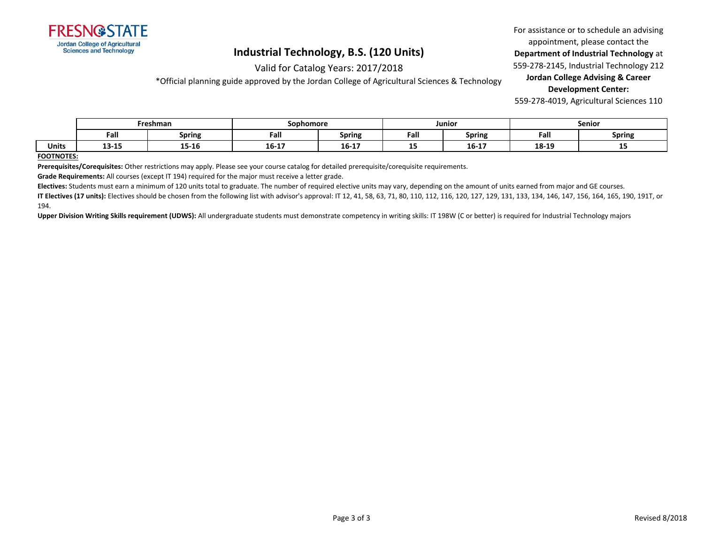

### Valid for Catalog Years: 2017/2018 \*Official planning guide approved by the Jordan College of Agricultural Sciences & Technology

For assistance or to schedule an advising appointment, please contact the

**Department of Industrial Technology** at

559-278-2145, Industrial Technology 212

### **Jordan College Advising & Career Development Center:**

559-278-4019, Agricultural Sciences 110

|              |       | Freshman      | Sophomore      |                  |      | Junior                  |       | Senior |
|--------------|-------|---------------|----------------|------------------|------|-------------------------|-------|--------|
|              | Fall  | <b>Spring</b> | Fall           | <b>Spring</b>    | Fall | <b>Spring</b>           | Fall  | Spring |
| <b>Units</b> | 13-15 | <br>15-16     | 10.17<br>10-17 | --<br>16-<br>--- | --   | $\overline{a}$<br>16-17 | 18-19 | --     |

#### **FOOTNOTES:**

**Prerequisites/Corequisites:** Other restrictions may apply. Please see your course catalog for detailed prerequisite/corequisite requirements.

**Grade Requirements:** All courses (except IT 194) required for the major must receive a letter grade.

**Electives:** Students must earn a minimum of 120 units total to graduate. The number of required elective units may vary, depending on the amount of units earned from major and GE courses.

**IT Electives (17 units):** Electives should be chosen from the following list with advisor's approval: IT 12, 41, 58, 63, 71, 80, 110, 112, 116, 120, 127, 129, 131, 133, 134, 146, 147, 156, 164, 165, 190, 191T, or 194.

**Upper Division Writing Skills requirement (UDWS):** All undergraduate students must demonstrate competency in writing skills: IT 198W (C or better) is required for Industrial Technology majors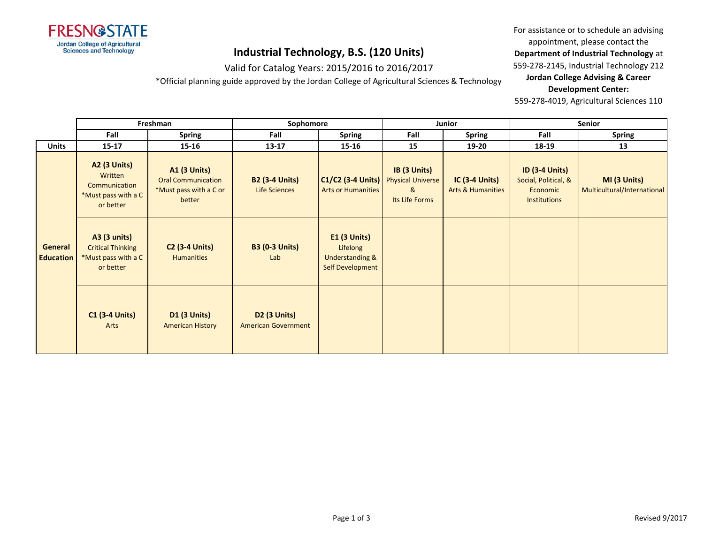

# Valid for Catalog Years: 2015/2016 to 2016/2017

\*Official planning guide approved by the Jordan College of Agricultural Sciences & Technology

For assistance or to schedule an advising appointment, please contact the

**Department of Industrial Technology** at

559-278-2145, Industrial Technology 212

#### **Jordan College Advising & Career Development Center:**

|                                    |                                                                                     | Freshman                                                                             | Sophomore                                         |                                                                                   | Junior                              |                                                       | <b>Senior</b>                                                                    |                                             |
|------------------------------------|-------------------------------------------------------------------------------------|--------------------------------------------------------------------------------------|---------------------------------------------------|-----------------------------------------------------------------------------------|-------------------------------------|-------------------------------------------------------|----------------------------------------------------------------------------------|---------------------------------------------|
|                                    | Fall                                                                                | <b>Spring</b>                                                                        | Fall                                              | <b>Spring</b>                                                                     | Fall                                | Spring                                                | Fall                                                                             | <b>Spring</b>                               |
| <b>Units</b>                       | $15 - 17$                                                                           | $15 - 16$                                                                            | $13 - 17$                                         | 15-16                                                                             | 15                                  | 19-20                                                 | 18-19                                                                            | 13                                          |
|                                    | <b>A2 (3 Units)</b><br>Written<br>Communication<br>*Must pass with a C<br>or better | <b>A1 (3 Units)</b><br><b>Oral Communication</b><br>*Must pass with a C or<br>better | <b>B2 (3-4 Units)</b><br><b>Life Sciences</b>     | C1/C2 (3-4 Units)   Physical Universe<br><b>Arts or Humanities</b>                | IB (3 Units)<br>&<br>Its Life Forms | <b>IC (3-4 Units)</b><br><b>Arts &amp; Humanities</b> | <b>ID (3-4 Units)</b><br>Social, Political, &<br>Economic<br><b>Institutions</b> | MI (3 Units)<br>Multicultural/International |
| <b>General</b><br><b>Education</b> | <b>A3 (3 units)</b><br><b>Critical Thinking</b><br>*Must pass with a C<br>or better | <b>C2 (3-4 Units)</b><br><b>Humanities</b>                                           | <b>B3 (0-3 Units)</b><br>Lab                      | <b>E1 (3 Units)</b><br>Lifelong<br><b>Understanding &amp;</b><br>Self Development |                                     |                                                       |                                                                                  |                                             |
|                                    | <b>C1 (3-4 Units)</b><br>Arts                                                       | <b>D1 (3 Units)</b><br><b>American History</b>                                       | <b>D2 (3 Units)</b><br><b>American Government</b> |                                                                                   |                                     |                                                       |                                                                                  |                                             |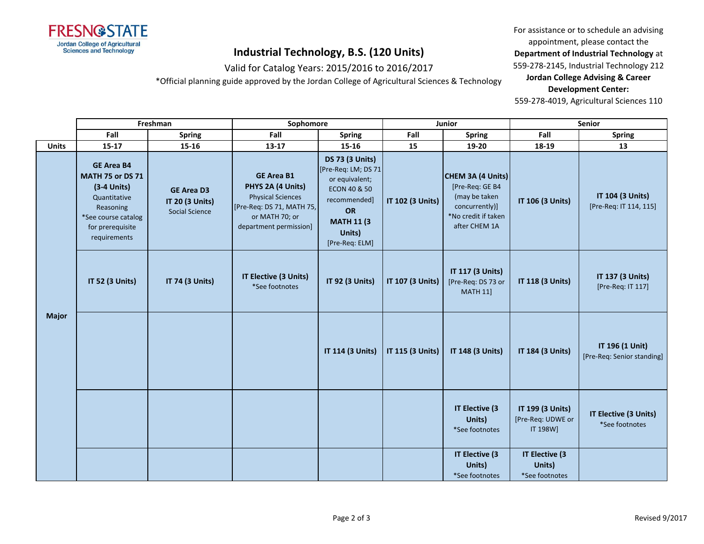

### Valid for Catalog Years: 2015/2016 to 2016/2017

\*Official planning guide approved by the Jordan College of Agricultural Sciences & Technology

For assistance or to schedule an advising appointment, please contact the **Department of Industrial Technology** at

559-278-2145, Industrial Technology 212

**Jordan College Advising & Career Development Center:**

|              |                                                                                                                                                       | Freshman                                                             | Sophomore                                                                                                                                   |                                                                                                                                                          |                  | Junior                                                                                                          |                                                   | Senior                                        |
|--------------|-------------------------------------------------------------------------------------------------------------------------------------------------------|----------------------------------------------------------------------|---------------------------------------------------------------------------------------------------------------------------------------------|----------------------------------------------------------------------------------------------------------------------------------------------------------|------------------|-----------------------------------------------------------------------------------------------------------------|---------------------------------------------------|-----------------------------------------------|
|              | Fall                                                                                                                                                  | <b>Spring</b>                                                        | Fall                                                                                                                                        | <b>Spring</b>                                                                                                                                            | Fall             | <b>Spring</b>                                                                                                   | Fall                                              | <b>Spring</b>                                 |
| <b>Units</b> | $15-17$                                                                                                                                               | 15-16                                                                | 13-17                                                                                                                                       | $15 - 16$                                                                                                                                                | 15               | 19-20                                                                                                           | 18-19                                             | 13                                            |
|              | <b>GE Area B4</b><br><b>MATH 75 or DS 71</b><br>$(3-4$ Units)<br>Quantitative<br>Reasoning<br>*See course catalog<br>for prerequisite<br>requirements | <b>GE Area D3</b><br><b>IT 20 (3 Units)</b><br><b>Social Science</b> | <b>GE Area B1</b><br>PHYS 2A (4 Units)<br><b>Physical Sciences</b><br>[Pre-Req: DS 71, MATH 75,<br>or MATH 70; or<br>department permission] | <b>DS 73 (3 Units)</b><br>[Pre-Req: LM; DS 71]<br>or equivalent;<br>ECON 40 & 50<br>recommended]<br>OR<br><b>MATH 11 (3)</b><br>Units)<br>[Pre-Req: ELM] | IT 102 (3 Units) | CHEM 3A (4 Units)<br>[Pre-Req: GE B4<br>(may be taken<br>concurrently)]<br>*No credit if taken<br>after CHEM 1A | IT 106 (3 Units)                                  | IT 104 (3 Units)<br>[Pre-Req: IT 114, 115]    |
|              | IT 52 (3 Units)                                                                                                                                       | IT 74 (3 Units)                                                      | IT Elective (3 Units)<br>*See footnotes                                                                                                     | IT 92 (3 Units)                                                                                                                                          | IT 107 (3 Units) | IT 117 (3 Units)<br>[Pre-Req: DS 73 or<br><b>MATH 11]</b>                                                       | IT 118 (3 Units)<br>IT 184 (3 Units)              | IT 137 (3 Units)<br>[Pre-Req: IT 117]         |
| <b>Major</b> |                                                                                                                                                       |                                                                      |                                                                                                                                             | IT 114 (3 Units)                                                                                                                                         | IT 115 (3 Units) | IT 148 (3 Units)                                                                                                |                                                   | IT 196 (1 Unit)<br>[Pre-Req: Senior standing] |
|              |                                                                                                                                                       |                                                                      |                                                                                                                                             |                                                                                                                                                          |                  | IT Elective (3<br>Units)<br>*See footnotes                                                                      | IT 199 (3 Units)<br>[Pre-Req: UDWE or<br>IT 198W] | IT Elective (3 Units)<br>*See footnotes       |
|              |                                                                                                                                                       |                                                                      |                                                                                                                                             |                                                                                                                                                          |                  | IT Elective (3<br>Units)<br>*See footnotes                                                                      | IT Elective (3<br>Units)<br>*See footnotes        |                                               |